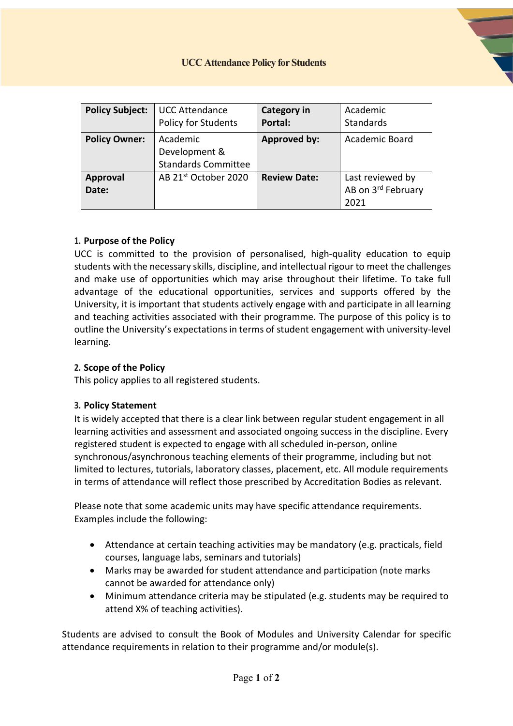| <b>Policy Subject:</b>   | <b>UCC Attendance</b><br><b>Policy for Students</b>     | <b>Category in</b><br>Portal: | Academic<br><b>Standards</b>                   |
|--------------------------|---------------------------------------------------------|-------------------------------|------------------------------------------------|
| <b>Policy Owner:</b>     | Academic<br>Development &<br><b>Standards Committee</b> | <b>Approved by:</b>           | Academic Board                                 |
| <b>Approval</b><br>Date: | AB 21 <sup>st</sup> October 2020                        | <b>Review Date:</b>           | Last reviewed by<br>AB on 3rd February<br>2021 |

### **1. Purpose of the Policy**

UCC is committed to the provision of personalised, high-quality education to equip students with the necessary skills, discipline, and intellectual rigour to meet the challenges and make use of opportunities which may arise throughout their lifetime. To take full advantage of the educational opportunities, services and supports offered by the University, it is important that students actively engage with and participate in all learning and teaching activities associated with their programme. The purpose of this policy is to outline the University's expectations in terms of student engagement with university-level learning.

### **2. Scope of the Policy**

This policy applies to all registered students.

#### **3. Policy Statement**

It is widely accepted that there is a clear link between regular student engagement in all learning activities and assessment and associated ongoing success in the discipline. Every registered student is expected to engage with all scheduled in-person, online synchronous/asynchronous teaching elements of their programme, including but not limited to lectures, tutorials, laboratory classes, placement, etc. All module requirements in terms of attendance will reflect those prescribed by Accreditation Bodies as relevant.

Please note that some academic units may have specific attendance requirements. Examples include the following:

- Attendance at certain teaching activities may be mandatory (e.g. practicals, field courses, language labs, seminars and tutorials)
- Marks may be awarded for student attendance and participation (note marks cannot be awarded for attendance only)
- Minimum attendance criteria may be stipulated (e.g. students may be required to attend X% of teaching activities).

Students are advised to consult the Book of Modules and University Calendar for specific attendance requirements in relation to their programme and/or module(s).